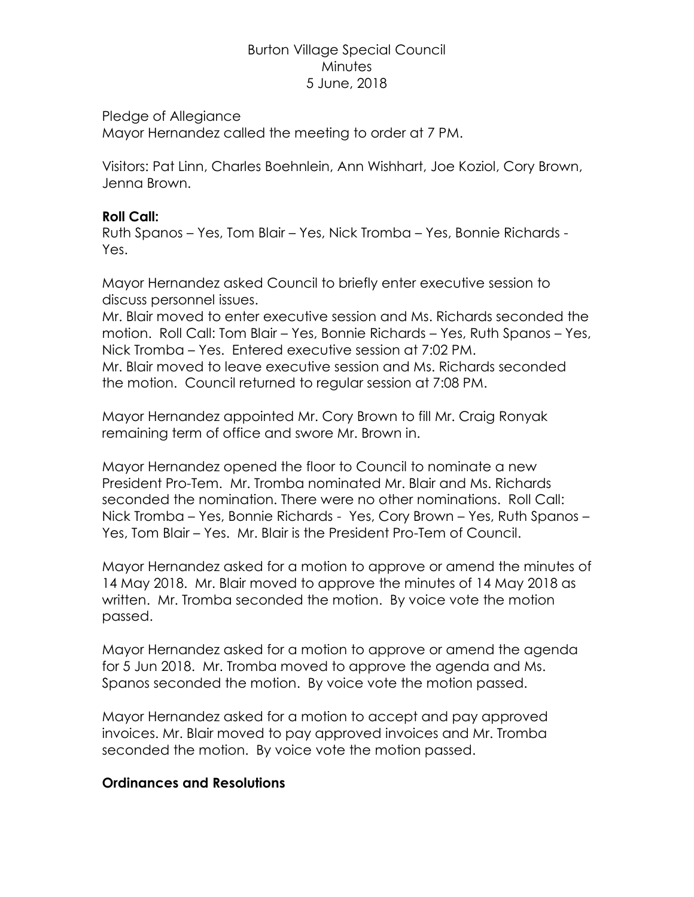# Burton Village Special Council **Minutes** 5 June, 2018

#### Pledge of Allegiance

Mayor Hernandez called the meeting to order at 7 PM.

Visitors: Pat Linn, Charles Boehnlein, Ann Wishhart, Joe Koziol, Cory Brown, Jenna Brown.

### **Roll Call:**

Ruth Spanos – Yes, Tom Blair – Yes, Nick Tromba – Yes, Bonnie Richards - Yes.

Mayor Hernandez asked Council to briefly enter executive session to discuss personnel issues.

Mr. Blair moved to enter executive session and Ms. Richards seconded the motion. Roll Call: Tom Blair – Yes, Bonnie Richards – Yes, Ruth Spanos – Yes, Nick Tromba – Yes. Entered executive session at 7:02 PM.

Mr. Blair moved to leave executive session and Ms. Richards seconded the motion. Council returned to regular session at 7:08 PM.

Mayor Hernandez appointed Mr. Cory Brown to fill Mr. Craig Ronyak remaining term of office and swore Mr. Brown in.

Mayor Hernandez opened the floor to Council to nominate a new President Pro-Tem. Mr. Tromba nominated Mr. Blair and Ms. Richards seconded the nomination. There were no other nominations. Roll Call: Nick Tromba – Yes, Bonnie Richards - Yes, Cory Brown – Yes, Ruth Spanos – Yes, Tom Blair – Yes. Mr. Blair is the President Pro-Tem of Council.

Mayor Hernandez asked for a motion to approve or amend the minutes of 14 May 2018. Mr. Blair moved to approve the minutes of 14 May 2018 as written. Mr. Tromba seconded the motion. By voice vote the motion passed.

Mayor Hernandez asked for a motion to approve or amend the agenda for 5 Jun 2018. Mr. Tromba moved to approve the agenda and Ms. Spanos seconded the motion. By voice vote the motion passed.

Mayor Hernandez asked for a motion to accept and pay approved invoices. Mr. Blair moved to pay approved invoices and Mr. Tromba seconded the motion. By voice vote the motion passed.

# **Ordinances and Resolutions**